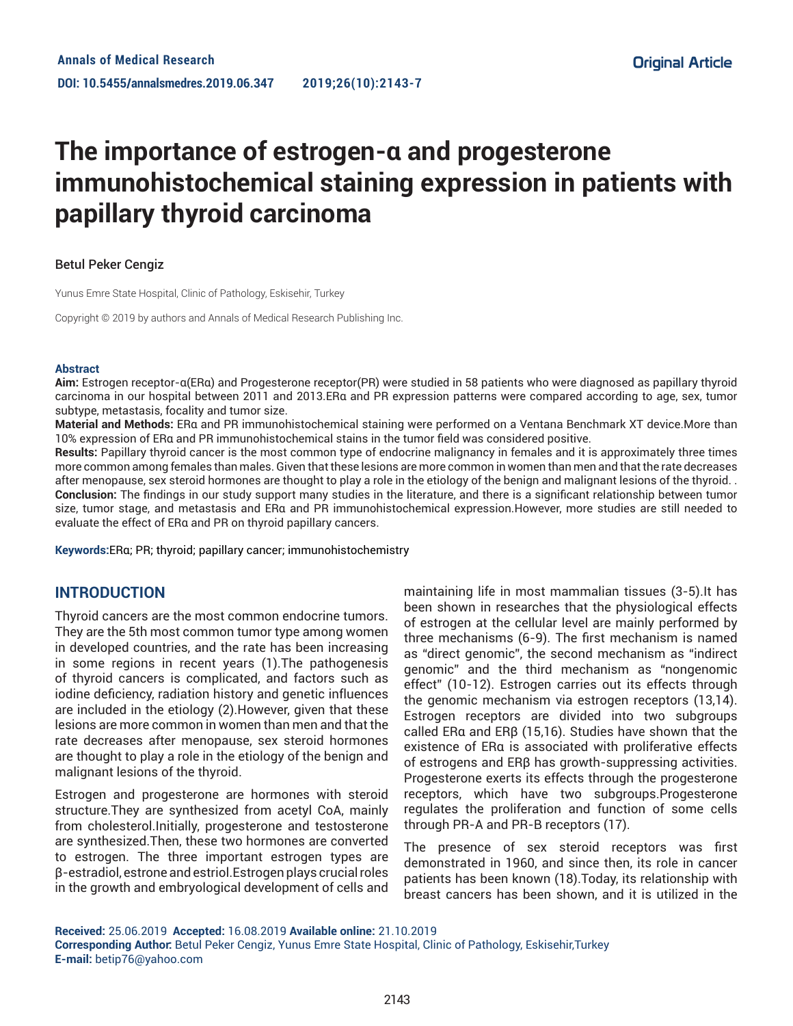# **The importance of estrogen-α and progesterone immunohistochemical staining expression in patients with papillary thyroid carcinoma**

### Betul Peker Cengiz

Yunus Emre State Hospital, Clinic of Pathology, Eskisehir, Turkey

Copyright © 2019 by authors and Annals of Medical Research Publishing Inc.

#### **Abstract**

**Aim:** Estrogen receptor-α(ERα) and Progesterone receptor(PR) were studied in 58 patients who were diagnosed as papillary thyroid carcinoma in our hospital between 2011 and 2013.ERα and PR expression patterns were compared according to age, sex, tumor subtype, metastasis, focality and tumor size.

**Material and Methods:** ERα and PR immunohistochemical staining were performed on a Ventana Benchmark XT device.More than 10% expression of ERα and PR immunohistochemical stains in the tumor field was considered positive.

**Results:** Papillary thyroid cancer is the most common type of endocrine malignancy in females and it is approximately three times more common among females than males. Given that these lesions are more common in women than men and that the rate decreases after menopause, sex steroid hormones are thought to play a role in the etiology of the benign and malignant lesions of the thyroid. . **Conclusion:** The findings in our study support many studies in the literature, and there is a significant relationship between tumor size, tumor stage, and metastasis and ERα and PR immunohistochemical expression.However, more studies are still needed to evaluate the effect of ERα and PR on thyroid papillary cancers.

**Keywords:**ERα; PR; thyroid; papillary cancer; immunohistochemistry

# **INTRODUCTION**

Thyroid cancers are the most common endocrine tumors. They are the 5th most common tumor type among women in developed countries, and the rate has been increasing in some regions in recent years (1).The pathogenesis of thyroid cancers is complicated, and factors such as iodine deficiency, radiation history and genetic influences are included in the etiology (2).However, given that these lesions are more common in women than men and that the rate decreases after menopause, sex steroid hormones are thought to play a role in the etiology of the benign and malignant lesions of the thyroid.

Estrogen and progesterone are hormones with steroid structure.They are synthesized from acetyl CoA, mainly from cholesterol.Initially, progesterone and testosterone are synthesized.Then, these two hormones are converted to estrogen. The three important estrogen types are β-estradiol, estrone and estriol.Estrogen plays crucial roles in the growth and embryological development of cells and

maintaining life in most mammalian tissues (3-5).It has been shown in researches that the physiological effects of estrogen at the cellular level are mainly performed by three mechanisms (6-9). The first mechanism is named as "direct genomic", the second mechanism as "indirect genomic" and the third mechanism as "nongenomic effect" (10-12). Estrogen carries out its effects through the genomic mechanism via estrogen receptors (13,14). Estrogen receptors are divided into two subgroups called ERα and ERβ (15,16). Studies have shown that the existence of ERα is associated with proliferative effects of estrogens and ERβ has growth-suppressing activities. Progesterone exerts its effects through the progesterone receptors, which have two subgroups.Progesterone regulates the proliferation and function of some cells through PR-A and PR-B receptors (17).

The presence of sex steroid receptors was first demonstrated in 1960, and since then, its role in cancer patients has been known (18).Today, its relationship with breast cancers has been shown, and it is utilized in the

**Received:** 25.06.2019 **Accepted:** 16.08.2019 **Available online:** 21.10.2019 **Corresponding Author:** Betul Peker Cengiz, Yunus Emre State Hospital, Clinic of Pathology, Eskisehir,Turkey **E-mail:** betip76@yahoo.com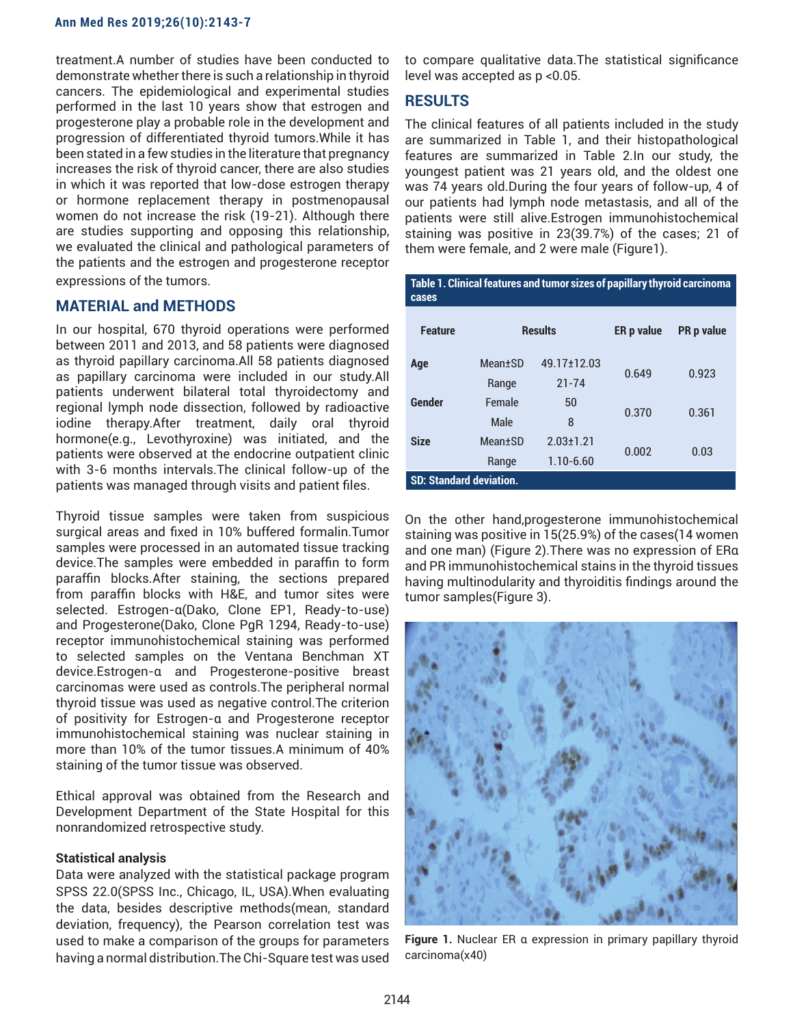treatment.A number of studies have been conducted to demonstrate whether there is such a relationship in thyroid cancers. The epidemiological and experimental studies performed in the last 10 years show that estrogen and progesterone play a probable role in the development and progression of differentiated thyroid tumors.While it has been stated in a few studies in the literature that pregnancy increases the risk of thyroid cancer, there are also studies in which it was reported that low-dose estrogen therapy or hormone replacement therapy in postmenopausal women do not increase the risk (19-21). Although there are studies supporting and opposing this relationship, we evaluated the clinical and pathological parameters of the patients and the estrogen and progesterone receptor expressions of the tumors.

# **MATERIAL and METHODS**

In our hospital, 670 thyroid operations were performed between 2011 and 2013, and 58 patients were diagnosed as thyroid papillary carcinoma.All 58 patients diagnosed as papillary carcinoma were included in our study.All patients underwent bilateral total thyroidectomy and regional lymph node dissection, followed by radioactive iodine therapy.After treatment, daily oral thyroid hormone(e.g., Levothyroxine) was initiated, and the patients were observed at the endocrine outpatient clinic with 3-6 months intervals.The clinical follow-up of the patients was managed through visits and patient files.

Thyroid tissue samples were taken from suspicious surgical areas and fixed in 10% buffered formalin.Tumor samples were processed in an automated tissue tracking device.The samples were embedded in paraffin to form paraffin blocks.After staining, the sections prepared from paraffin blocks with H&E, and tumor sites were selected. Estrogen-α(Dako, Clone EP1, Ready-to-use) and Progesterone(Dako, Clone PgR 1294, Ready-to-use) receptor immunohistochemical staining was performed to selected samples on the Ventana Benchman XT device.Estrogen-α and Progesterone-positive breast carcinomas were used as controls.The peripheral normal thyroid tissue was used as negative control.The criterion of positivity for Estrogen-α and Progesterone receptor immunohistochemical staining was nuclear staining in more than 10% of the tumor tissues.A minimum of 40% staining of the tumor tissue was observed.

Ethical approval was obtained from the Research and Development Department of the State Hospital for this nonrandomized retrospective study.

#### **Statistical analysis**

Data were analyzed with the statistical package program SPSS 22.0(SPSS Inc., Chicago, IL, USA).When evaluating the data, besides descriptive methods(mean, standard deviation, frequency), the Pearson correlation test was used to make a comparison of the groups for parameters having a normal distribution.The Chi-Square test was used to compare qualitative data.The statistical significance level was accepted as p <0.05.

## **RESULTS**

The clinical features of all patients included in the study are summarized in Table 1, and their histopathological features are summarized in Table 2.In our study, the youngest patient was 21 years old, and the oldest one was 74 years old.During the four years of follow-up, 4 of our patients had lymph node metastasis, and all of the patients were still alive.Estrogen immunohistochemical staining was positive in 23(39.7%) of the cases; 21 of them were female, and 2 were male (Figure1).

| Table 1. Clinical features and tumor sizes of papillary thyroid carcinoma<br>cases |                  |                                  |            |                   |  |  |  |  |  |
|------------------------------------------------------------------------------------|------------------|----------------------------------|------------|-------------------|--|--|--|--|--|
| <b>Feature</b>                                                                     | <b>Results</b>   |                                  | ER p value | <b>PR</b> p value |  |  |  |  |  |
| Age                                                                                | Mean+SD<br>Range | 49.17+12.03<br>$21 - 74$         | 0.649      | 0.923             |  |  |  |  |  |
| Gender                                                                             | Female<br>Male   | 50<br>8                          | 0.370      | 0.361             |  |  |  |  |  |
| <b>Size</b>                                                                        | Mean+SD<br>Range | $2.03 \pm 1.21$<br>$1.10 - 6.60$ | 0.002      | 0.03              |  |  |  |  |  |
| <b>SD: Standard deviation.</b>                                                     |                  |                                  |            |                   |  |  |  |  |  |

On the other hand,progesterone immunohistochemical staining was positive in 15(25.9%) of the cases(14 women and one man) (Figure 2).There was no expression of ERα and PR immunohistochemical stains in the thyroid tissues having multinodularity and thyroiditis findings around the tumor samples(Figure 3).



**Figure 1.** Nuclear ER α expression in primary papillary thyroid carcinoma(x40)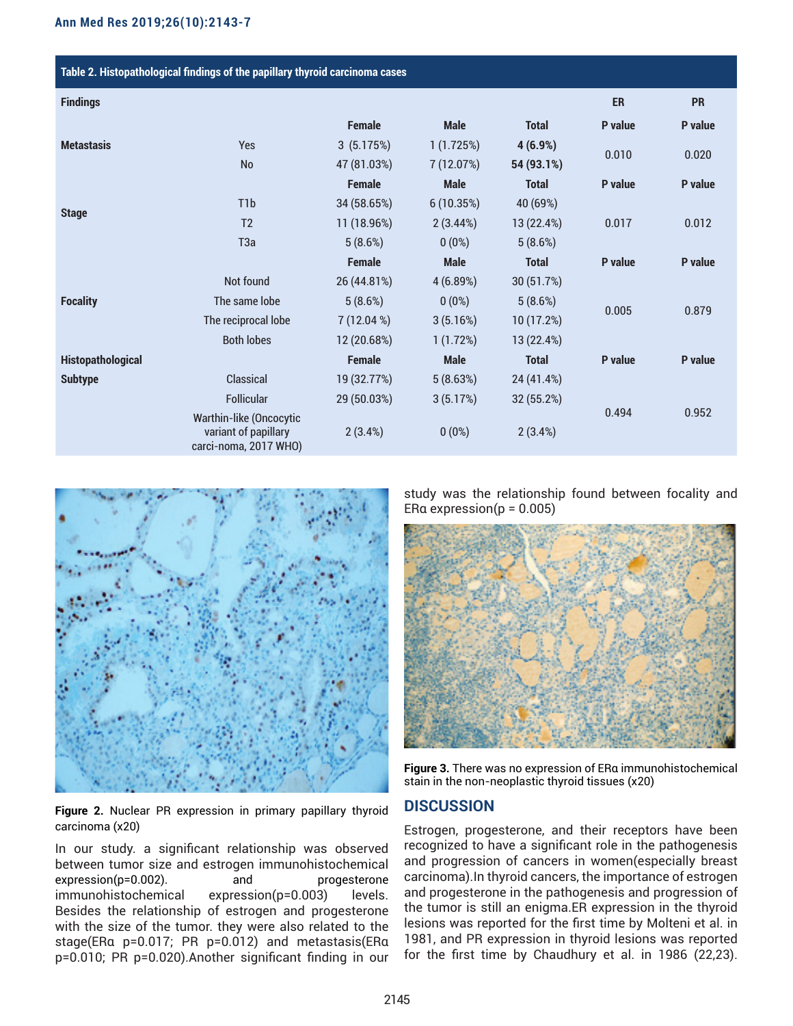| Table 2. Histopathological findings of the papillary thyroid carcinoma cases |                                                                                 |               |             |              |         |           |  |  |  |  |
|------------------------------------------------------------------------------|---------------------------------------------------------------------------------|---------------|-------------|--------------|---------|-----------|--|--|--|--|
| <b>Findings</b>                                                              |                                                                                 |               |             |              | ER      | <b>PR</b> |  |  |  |  |
|                                                                              |                                                                                 | <b>Female</b> | <b>Male</b> | <b>Total</b> | P value | P value   |  |  |  |  |
| <b>Metastasis</b>                                                            | <b>Yes</b>                                                                      | 3(5.175%)     | 1(1.725%)   | 4(6.9%)      | 0.010   | 0.020     |  |  |  |  |
|                                                                              | <b>No</b>                                                                       | 47 (81.03%)   | 7 (12.07%)  | 54 (93.1%)   |         |           |  |  |  |  |
|                                                                              |                                                                                 | <b>Female</b> | <b>Male</b> | <b>Total</b> | P value | P value   |  |  |  |  |
| <b>Stage</b>                                                                 | T <sub>1</sub> b                                                                | 34 (58.65%)   | 6(10.35%)   | 40 (69%)     |         |           |  |  |  |  |
|                                                                              | T <sub>2</sub>                                                                  | 11 (18.96%)   | 2(3.44%)    | 13 (22.4%)   | 0.017   | 0.012     |  |  |  |  |
|                                                                              | T <sub>3a</sub>                                                                 | 5(8.6%)       | $0(0\%)$    | 5(8.6%)      |         |           |  |  |  |  |
|                                                                              |                                                                                 | <b>Female</b> | <b>Male</b> | <b>Total</b> | P value | P value   |  |  |  |  |
| <b>Focality</b>                                                              | Not found                                                                       | 26 (44.81%)   | 4(6.89%)    | 30 (51.7%)   | 0.005   | 0.879     |  |  |  |  |
|                                                                              | The same lobe                                                                   | 5(8.6%)       | $0(0\%)$    | 5(8.6%)      |         |           |  |  |  |  |
|                                                                              | The reciprocal lobe                                                             | 7(12.04%)     | 3(5.16%)    | 10 (17.2%)   |         |           |  |  |  |  |
|                                                                              | <b>Both lobes</b>                                                               | 12 (20.68%)   | 1(1.72%)    | 13 (22.4%)   |         |           |  |  |  |  |
| Histopathological                                                            |                                                                                 | <b>Female</b> | <b>Male</b> | <b>Total</b> | P value | P value   |  |  |  |  |
| <b>Subtype</b>                                                               | Classical                                                                       | 19 (32.77%)   | 5(8.63%)    | 24 (41.4%)   |         |           |  |  |  |  |
|                                                                              | <b>Follicular</b>                                                               | 29 (50.03%)   | 3(5.17%)    | 32 (55.2%)   |         |           |  |  |  |  |
|                                                                              | <b>Warthin-like (Oncocytic</b><br>variant of papillary<br>carci-noma, 2017 WHO) | 2(3.4%)       | $0(0\%)$    | 2(3.4%)      | 0.494   | 0.952     |  |  |  |  |



**Figure 2.** Nuclear PR expression in primary papillary thyroid carcinoma (x20)

In our study. a significant relationship was observed between tumor size and estrogen immunohistochemical expression(p=0.002). and progesterone immunohistochemical expression(p=0.003) levels. Besides the relationship of estrogen and progesterone with the size of the tumor. they were also related to the stage(ERα p=0.017; PR p=0.012) and metastasis(ERα p=0.010; PR p=0.020).Another significant finding in our

study was the relationship found between focality and ERa expression( $p = 0.005$ )



**Figure 3.** There was no expression of ERα immunohistochemical stain in the non-neoplastic thyroid tissues (x20)

## **DISCUSSION**

Estrogen, progesterone, and their receptors have been recognized to have a significant role in the pathogenesis and progression of cancers in women(especially breast carcinoma).In thyroid cancers, the importance of estrogen and progesterone in the pathogenesis and progression of the tumor is still an enigma.ER expression in the thyroid lesions was reported for the first time by Molteni et al. in 1981, and PR expression in thyroid lesions was reported for the first time by Chaudhury et al. in 1986 (22,23).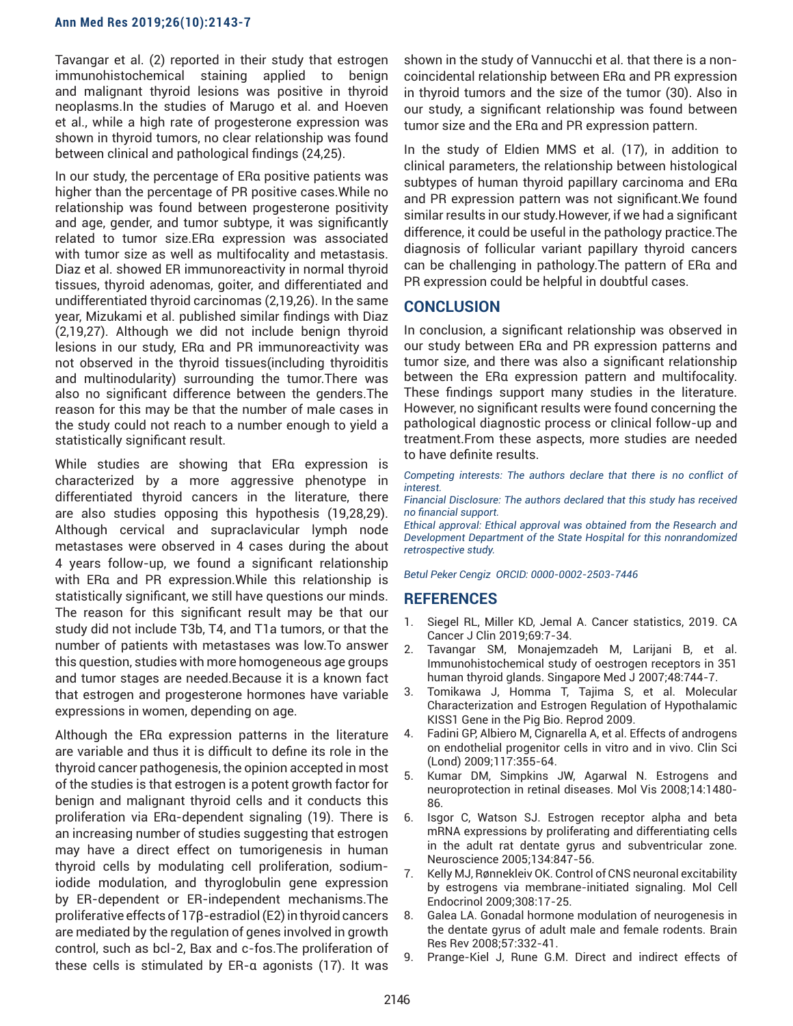Tavangar et al. (2) reported in their study that estrogen immunohistochemical staining applied to benign and malignant thyroid lesions was positive in thyroid neoplasms.In the studies of Marugo et al. and Hoeven et al., while a high rate of progesterone expression was shown in thyroid tumors, no clear relationship was found between clinical and pathological findings (24,25).

In our study, the percentage of ERα positive patients was higher than the percentage of PR positive cases.While no relationship was found between progesterone positivity and age, gender, and tumor subtype, it was significantly related to tumor size.ERα expression was associated with tumor size as well as multifocality and metastasis. Diaz et al. showed ER immunoreactivity in normal thyroid tissues, thyroid adenomas, goiter, and differentiated and undifferentiated thyroid carcinomas (2,19,26). In the same year, Mizukami et al. published similar findings with Diaz (2,19,27). Although we did not include benign thyroid lesions in our study, ERα and PR immunoreactivity was not observed in the thyroid tissues(including thyroiditis and multinodularity) surrounding the tumor.There was also no significant difference between the genders.The reason for this may be that the number of male cases in the study could not reach to a number enough to yield a statistically significant result.

While studies are showing that ERα expression is characterized by a more aggressive phenotype in differentiated thyroid cancers in the literature, there are also studies opposing this hypothesis (19,28,29). Although cervical and supraclavicular lymph node metastases were observed in 4 cases during the about 4 years follow-up, we found a significant relationship with ERα and PR expression.While this relationship is statistically significant, we still have questions our minds. The reason for this significant result may be that our study did not include T3b, T4, and T1a tumors, or that the number of patients with metastases was low.To answer this question, studies with more homogeneous age groups and tumor stages are needed.Because it is a known fact that estrogen and progesterone hormones have variable expressions in women, depending on age.

Although the ERα expression patterns in the literature are variable and thus it is difficult to define its role in the thyroid cancer pathogenesis, the opinion accepted in most of the studies is that estrogen is a potent growth factor for benign and malignant thyroid cells and it conducts this proliferation via ERα-dependent signaling (19). There is an increasing number of studies suggesting that estrogen may have a direct effect on tumorigenesis in human thyroid cells by modulating cell proliferation, sodiumiodide modulation, and thyroglobulin gene expression by ER-dependent or ER-independent mechanisms.The proliferative effects of 17β-estradiol (E2) in thyroid cancers are mediated by the regulation of genes involved in growth control, such as bcl-2, Bax and c-fos.The proliferation of these cells is stimulated by ER-α agonists (17). It was

shown in the study of Vannucchi et al. that there is a noncoincidental relationship between ERα and PR expression in thyroid tumors and the size of the tumor (30). Also in our study, a significant relationship was found between tumor size and the ERα and PR expression pattern.

In the study of Eldien MMS et al. (17), in addition to clinical parameters, the relationship between histological subtypes of human thyroid papillary carcinoma and ERα and PR expression pattern was not significant.We found similar results in our study.However, if we had a significant difference, it could be useful in the pathology practice.The diagnosis of follicular variant papillary thyroid cancers can be challenging in pathology.The pattern of ERα and PR expression could be helpful in doubtful cases.

# **CONCLUSION**

In conclusion, a significant relationship was observed in our study between ERα and PR expression patterns and tumor size, and there was also a significant relationship between the ERα expression pattern and multifocality. These findings support many studies in the literature. However, no significant results were found concerning the pathological diagnostic process or clinical follow-up and treatment.From these aspects, more studies are needed to have definite results.

*Competing interests: The authors declare that there is no conflict of interest.*

*Financial Disclosure: The authors declared that this study has received no financial support.*

*Ethical approval: Ethical approval was obtained from the Research and Development Department of the State Hospital for this nonrandomized retrospective study.*

*Betul Peker Cengiz ORCID: 0000-0002-2503-7446*

## **REFERENCES**

- 1. Siegel RL, Miller KD, Jemal A. Cancer statistics, 2019. CA Cancer J Clin 2019;69:7-34.
- 2. Tavangar SM, Monajemzadeh M, Larijani B, et al. Immunohistochemical study of oestrogen receptors in 351 human thyroid glands. Singapore Med J 2007;48:744-7.
- 3. Tomikawa J, Homma T, Tajima S, et al. Molecular Characterization and Estrogen Regulation of Hypothalamic KISS1 Gene in the Pig Bio. Reprod 2009.
- 4. Fadini GP, Albiero M, Cignarella A, et al. Effects of androgens on endothelial progenitor cells in vitro and in vivo. Clin Sci (Lond) 2009;117:355-64.
- 5. Kumar DM, Simpkins JW, Agarwal N. Estrogens and neuroprotection in retinal diseases. Mol Vis 2008;14:1480- 86.
- 6. Isgor C, Watson SJ. Estrogen receptor alpha and beta mRNA expressions by proliferating and differentiating cells in the adult rat dentate gyrus and subventricular zone. Neuroscience 2005;134:847-56.
- 7. Kelly MJ, Rønnekleiv OK. Control of CNS neuronal excitability by estrogens via membrane-initiated signaling. Mol Cell Endocrinol 2009;308:17-25.
- 8. Galea LA. Gonadal hormone modulation of neurogenesis in the dentate gyrus of adult male and female rodents. Brain Res Rev 2008;57:332-41.
- 9. Prange-Kiel J, Rune G.M. Direct and indirect effects of